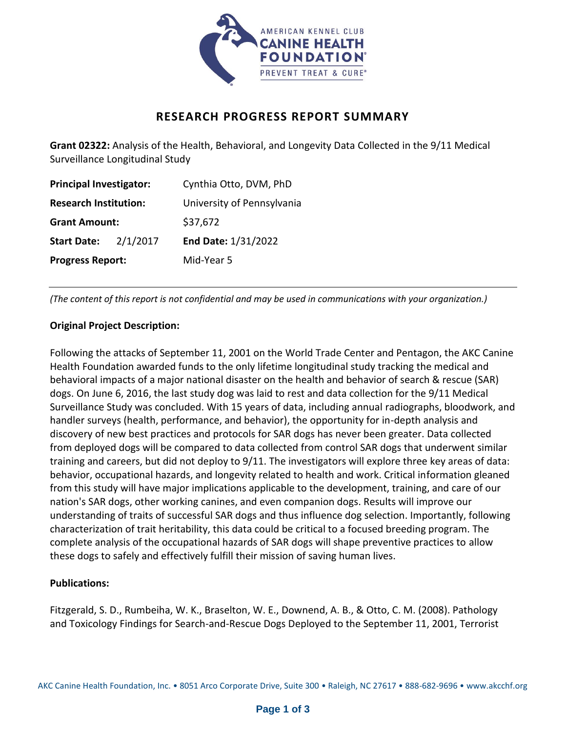

# **RESEARCH PROGRESS REPORT SUMMARY**

**Grant 02322:** Analysis of the Health, Behavioral, and Longevity Data Collected in the 9/11 Medical Surveillance Longitudinal Study

| <b>Principal Investigator:</b> |          | Cynthia Otto, DVM, PhD     |
|--------------------------------|----------|----------------------------|
| <b>Research Institution:</b>   |          | University of Pennsylvania |
| <b>Grant Amount:</b>           |          | \$37,672                   |
| <b>Start Date:</b>             | 2/1/2017 | End Date: 1/31/2022        |
| <b>Progress Report:</b>        |          | Mid-Year 5                 |

*(The content of this report is not confidential and may be used in communications with your organization.)*

#### **Original Project Description:**

Following the attacks of September 11, 2001 on the World Trade Center and Pentagon, the AKC Canine Health Foundation awarded funds to the only lifetime longitudinal study tracking the medical and behavioral impacts of a major national disaster on the health and behavior of search & rescue (SAR) dogs. On June 6, 2016, the last study dog was laid to rest and data collection for the 9/11 Medical Surveillance Study was concluded. With 15 years of data, including annual radiographs, bloodwork, and handler surveys (health, performance, and behavior), the opportunity for in-depth analysis and discovery of new best practices and protocols for SAR dogs has never been greater. Data collected from deployed dogs will be compared to data collected from control SAR dogs that underwent similar training and careers, but did not deploy to 9/11. The investigators will explore three key areas of data: behavior, occupational hazards, and longevity related to health and work. Critical information gleaned from this study will have major implications applicable to the development, training, and care of our nation's SAR dogs, other working canines, and even companion dogs. Results will improve our understanding of traits of successful SAR dogs and thus influence dog selection. Importantly, following characterization of trait heritability, this data could be critical to a focused breeding program. The complete analysis of the occupational hazards of SAR dogs will shape preventive practices to allow these dogs to safely and effectively fulfill their mission of saving human lives.

#### **Publications:**

Fitzgerald, S. D., Rumbeiha, W. K., Braselton, W. E., Downend, A. B., & Otto, C. M. (2008). Pathology and Toxicology Findings for Search-and-Rescue Dogs Deployed to the September 11, 2001, Terrorist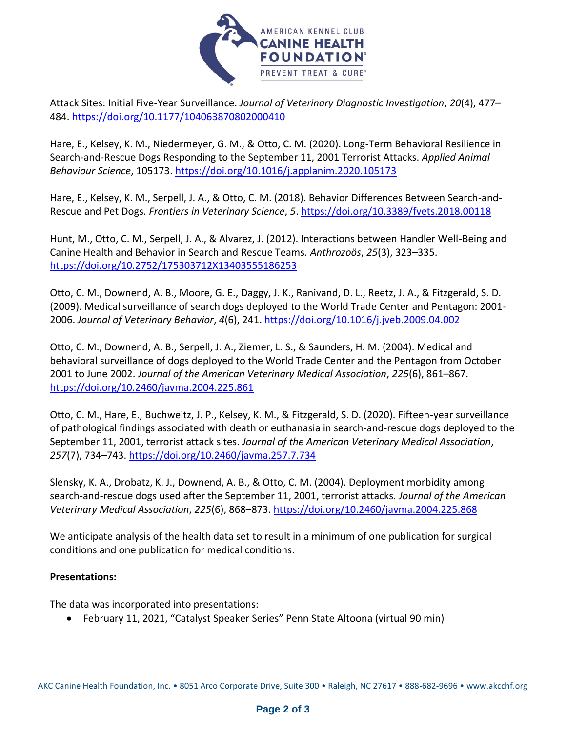

Attack Sites: Initial Five-Year Surveillance. *Journal of Veterinary Diagnostic Investigation*, *20*(4), 477– 484.<https://doi.org/10.1177/104063870802000410>

Hare, E., Kelsey, K. M., Niedermeyer, G. M., & Otto, C. M. (2020). Long-Term Behavioral Resilience in Search-and-Rescue Dogs Responding to the September 11, 2001 Terrorist Attacks. *Applied Animal Behaviour Science*, 105173.<https://doi.org/10.1016/j.applanim.2020.105173>

Hare, E., Kelsey, K. M., Serpell, J. A., & Otto, C. M. (2018). Behavior Differences Between Search-and-Rescue and Pet Dogs. *Frontiers in Veterinary Science*, *5*[. https://doi.org/10.3389/fvets.2018.00118](https://doi.org/10.3389/fvets.2018.00118)

Hunt, M., Otto, C. M., Serpell, J. A., & Alvarez, J. (2012). Interactions between Handler Well-Being and Canine Health and Behavior in Search and Rescue Teams. *Anthrozoös*, *25*(3), 323–335. <https://doi.org/10.2752/175303712X13403555186253>

Otto, C. M., Downend, A. B., Moore, G. E., Daggy, J. K., Ranivand, D. L., Reetz, J. A., & Fitzgerald, S. D. (2009). Medical surveillance of search dogs deployed to the World Trade Center and Pentagon: 2001- 2006. *Journal of Veterinary Behavior*, *4*(6), 241.<https://doi.org/10.1016/j.jveb.2009.04.002>

Otto, C. M., Downend, A. B., Serpell, J. A., Ziemer, L. S., & Saunders, H. M. (2004). Medical and behavioral surveillance of dogs deployed to the World Trade Center and the Pentagon from October 2001 to June 2002. *Journal of the American Veterinary Medical Association*, *225*(6), 861–867. <https://doi.org/10.2460/javma.2004.225.861>

Otto, C. M., Hare, E., Buchweitz, J. P., Kelsey, K. M., & Fitzgerald, S. D. (2020). Fifteen-year surveillance of pathological findings associated with death or euthanasia in search-and-rescue dogs deployed to the September 11, 2001, terrorist attack sites. *Journal of the American Veterinary Medical Association*, *257*(7), 734–743.<https://doi.org/10.2460/javma.257.7.734>

Slensky, K. A., Drobatz, K. J., Downend, A. B., & Otto, C. M. (2004). Deployment morbidity among search-and-rescue dogs used after the September 11, 2001, terrorist attacks. *Journal of the American Veterinary Medical Association*, *225*(6), 868–873.<https://doi.org/10.2460/javma.2004.225.868>

We anticipate analysis of the health data set to result in a minimum of one publication for surgical conditions and one publication for medical conditions.

## **Presentations:**

The data was incorporated into presentations:

• February 11, 2021, "Catalyst Speaker Series" Penn State Altoona (virtual 90 min)